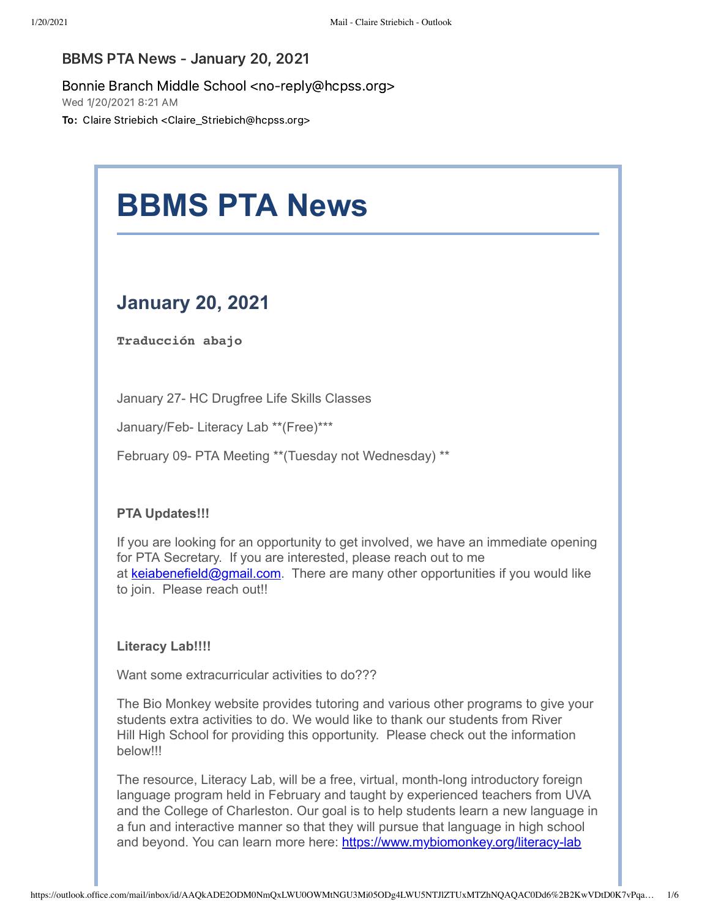### BBMS PTA News - January 20, 2021

#### Bonnie Branch Middle School <no-reply@hcpss.org>

Wed 1/20/2021 8:21 AM

To: Claire Striebich <Claire\_Striebich@hcpss.org>

# **BBMS PTA News**

## **January 20, 2021**

**Traducción abajo**

January 27- HC Drugfree Life Skills Classes

January/Feb- Literacy Lab \*\*(Free)\*\*\*

February 09- PTA Meeting \*\*(Tuesday not Wednesday) \*\*

#### **PTA Updates!!!**

If you are looking for an opportunity to get involved, we have an immediate opening for PTA Secretary. If you are interested, please reach out to me at [keiabenefield@gmail.com.](mailto:keiabenefield@gmail.com) There are many other opportunities if you would like to join. Please reach out!!

#### Literacy Lab!!!!

Want some extracurricular activities to do???

The Bio Monkey website provides tutoring and various other programs to give your students extra activities to do. We would like to thank our students from River Hill High School for providing this opportunity. Please check out the information below!!!

The resource, Literacy Lab, will be a free, virtual, month-long introductory foreign language program held in February and taught by experienced teachers from UVA and the College of Charleston. Our goal is to help students learn a new language in a fun and interactive manner so that they will pursue that language in high school and beyond. You can learn more here: [https://www.mybiomonkey.org/literacy-lab](https://nam10.safelinks.protection.outlook.com/?url=http:%2F%2Ftrack.spe.schoolmessenger.com%2Ff%2Fa%2FQswLwrKC70Dg1S432FJpLg~~%2FAAAAAQA~%2FRgRh6WHZP0QoaHR0cHM6Ly93d3cubXliaW9tb25rZXkub3JnL2xpdGVyYWN5LWxhYlcHc2Nob29sbUIKYAZZLghg2FRTDlIaY2xhaXJlX3N0cmllYmljaEBoY3Bzcy5vcmdYBAAAAAE~&data=04%7C01%7Cclaire_striebich%40hcpss.org%7C63e97d8ad85d4e874bfc08d8bd464d4b%7C96a9ac4c477e4dada2b28ad3fc46790b%7C0%7C0%7C637467456941406131%7CUnknown%7CTWFpbGZsb3d8eyJWIjoiMC4wLjAwMDAiLCJQIjoiV2luMzIiLCJBTiI6Ik1haWwiLCJXVCI6Mn0%3D%7C1000&sdata=5%2Fvk%2F87AkKj3Uj4Oh4uwtSpMmvtCsiTXmRR%2FwaB%2FUn0%3D&reserved=0)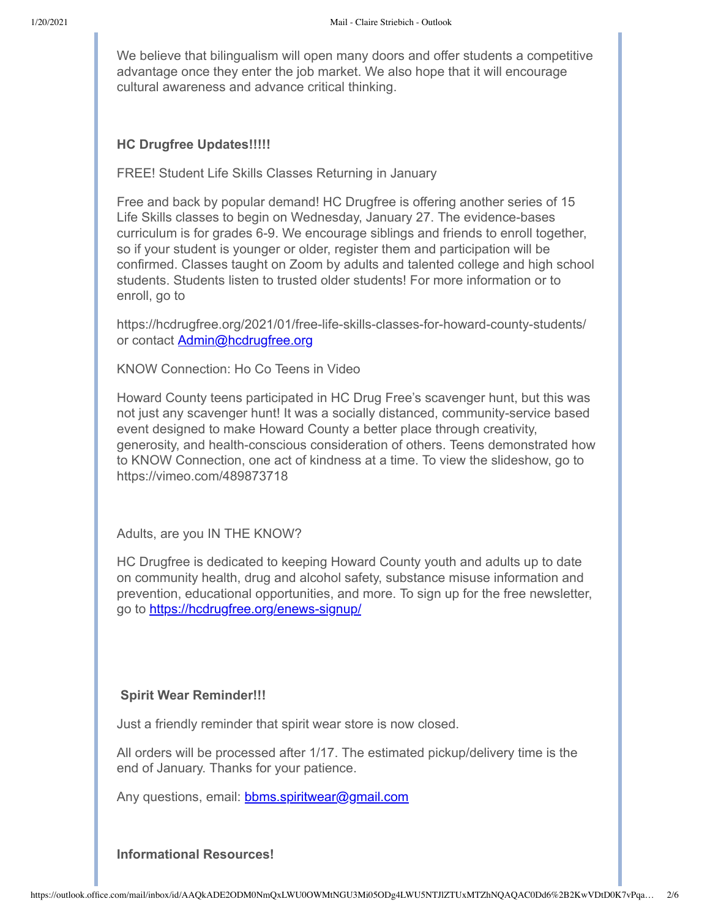We believe that bilingualism will open many doors and offer students a competitive advantage once they enter the job market. We also hope that it will encourage cultural awareness and advance critical thinking.

#### **HC Drugfree Updates!!!!!**

FREE! Student Life Skills Classes Returning in January

Free and back by popular demand! HC Drugfree is offering another series of 15 Life Skills classes to begin on Wednesday, January 27. The evidence-bases curriculum is for grades 6-9. We encourage siblings and friends to enroll together, so if your student is younger or older, register them and participation will be confirmed. Classes taught on Zoom by adults and talented college and high school students. Students listen to trusted older students! For more information or to enroll, go to

https://hcdrugfree.org/2021/01/free-life-skills-classes-for-howard-county-students/ or contact **Admin@hcdrugfree.org** 

KNOW Connection: Ho Co Teens in Video

Howard County teens participated in HC Drug Free's scavenger hunt, but this was not just any scavenger hunt! It was a socially distanced, community-service based event designed to make Howard County a better place through creativity, generosity, and health-conscious consideration of others. Teens demonstrated how to KNOW Connection, one act of kindness at a time. To view the slideshow, go to https://vimeo.com/489873718

Adults, are you IN THE KNOW?

HC Drugfree is dedicated to keeping Howard County youth and adults up to date on community health, drug and alcohol safety, substance misuse information and prevention, educational opportunities, and more. To sign up for the free newsletter, go to [https://hcdrugfree.org/enews-signup/](https://nam10.safelinks.protection.outlook.com/?url=http:%2F%2Ftrack.spe.schoolmessenger.com%2Ff%2Fa%2FJAi1BsuztvHqsjdP305EaA~~%2FAAAAAQA~%2FRgRh6WHZP0QkaHR0cHM6Ly9oY2RydWdmcmVlLm9yZy9lbmV3cy1zaWdudXAvVwdzY2hvb2xtQgpgBlkuCGDYVFMOUhpjbGFpcmVfc3RyaWViaWNoQGhjcHNzLm9yZ1gEAAAAAQ~~&data=04%7C01%7Cclaire_striebich%40hcpss.org%7C63e97d8ad85d4e874bfc08d8bd464d4b%7C96a9ac4c477e4dada2b28ad3fc46790b%7C0%7C0%7C637467456941416126%7CUnknown%7CTWFpbGZsb3d8eyJWIjoiMC4wLjAwMDAiLCJQIjoiV2luMzIiLCJBTiI6Ik1haWwiLCJXVCI6Mn0%3D%7C1000&sdata=y2mtw7b67TuRkmU2oP5BEzktNb8HAVr%2FYKRg%2FzmJpn0%3D&reserved=0)

#### **Spirit Wear Reminder!!!**

Just a friendly reminder that spirit wear store is now closed.

All orders will be processed after 1/17. The estimated pickup/delivery time is the end of January. Thanks for your patience.

Any questions, email: [bbms.spiritwear@gmail.com](mailto:bbms.spiritwear@gmail.com)

**Informational Resources!**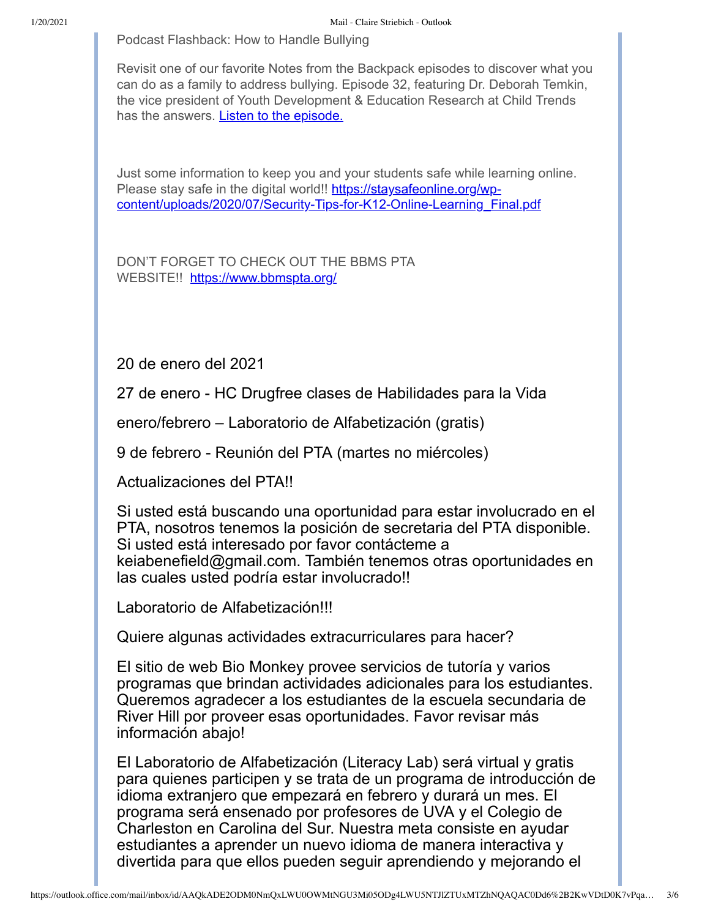Podcast Flashback: How to Handle Bullying

Revisit one of our favorite Notes from the Backpack episodes to discover what you can do as a family to address bullying. Episode 32, featuring Dr. Deborah Temkin, the vice president of Youth Development & Education Research at Child Trends has the answers. [Listen to the episode](https://nam10.safelinks.protection.outlook.com/?url=http:%2F%2Ftrack.spe.schoolmessenger.com%2Ff%2Fa%2FT-Fzp_eGuPQC7YmA81mrcw~~%2FAAAAAQA~%2FRgRh6WHZP4TiAWh0dHA6Ly9yMjAucnM2Lm5ldC90bi5qc3A_Zj0wMDFhZXRTQTRrb0JZNEpjcHItQ2d5R0RKQ2kxUGxpX0tnUVFubENiMkU3clNRTDVsdHVQTFExV1ZFdTREbG5CQ3h5VDBZNjNHdHpOZGYyV3JxQ3Qwejh3Z2w4eVcxcXNtRlhTdDZKNUdxdko1UE51NEFwQndQYlhrTHlHZVpEU3U2N1Ntc2FTQVU3cDZRdkVhMlNHYUVJMDJCNzkzOTlqQjJ4Si1lT191dG52eTFfZzdpLWRfV2U1MDhWWTlKdmtrWHpVbm9CQUxoOEg5OEotQ3h4Q2ducHdZQXlJY19GSFZqb09hZ3NBRkVKUG94amRKWTBHSlhJdHJLZkhzWE1vTm42cHZvei1RTGZoU2I3OGVIeUliYUY3ZjZzXzcxNGFsYUtwZ2xVRjVxakVYalZPNUt6QjEyaS16VDRUc3dHcm0zZHNDS1JhanFMN21NPSZjPUdPVDlHQ055ckE3UWFYc2ZQUGh5ajJJc0wwWW9mNW5mUDhORjZfc21YbDg0SUZPc0dGQWNzQT09JmNoPUJnREc4ZzVnV3NSVklDdEx2R0hTd25PbWtUd084M0NYMkRPSkdxbDI3Qkh0eF9ESEYtZGZCUT09VwdzY2hvb2xtQgpgBlkuCGDYVFMOUhpjbGFpcmVfc3RyaWViaWNoQGhjcHNzLm9yZ1gEAAAAAQ~~&data=04%7C01%7Cclaire_striebich%40hcpss.org%7C63e97d8ad85d4e874bfc08d8bd464d4b%7C96a9ac4c477e4dada2b28ad3fc46790b%7C0%7C0%7C637467456941416126%7CUnknown%7CTWFpbGZsb3d8eyJWIjoiMC4wLjAwMDAiLCJQIjoiV2luMzIiLCJBTiI6Ik1haWwiLCJXVCI6Mn0%3D%7C1000&sdata=k6ISywxHImwaMEnBrSXY%2BEEuDQ0zCsQnS0h%2FM8VqrrQ%3D&reserved=0)[.](https://nam10.safelinks.protection.outlook.com/?url=http:%2F%2Ftrack.spe.schoolmessenger.com%2Ff%2Fa%2FT-Fzp_eGuPQC7YmA81mrcw~~%2FAAAAAQA~%2FRgRh6WHZP4TiAWh0dHA6Ly9yMjAucnM2Lm5ldC90bi5qc3A_Zj0wMDFhZXRTQTRrb0JZNEpjcHItQ2d5R0RKQ2kxUGxpX0tnUVFubENiMkU3clNRTDVsdHVQTFExV1ZFdTREbG5CQ3h5VDBZNjNHdHpOZGYyV3JxQ3Qwejh3Z2w4eVcxcXNtRlhTdDZKNUdxdko1UE51NEFwQndQYlhrTHlHZVpEU3U2N1Ntc2FTQVU3cDZRdkVhMlNHYUVJMDJCNzkzOTlqQjJ4Si1lT191dG52eTFfZzdpLWRfV2U1MDhWWTlKdmtrWHpVbm9CQUxoOEg5OEotQ3h4Q2ducHdZQXlJY19GSFZqb09hZ3NBRkVKUG94amRKWTBHSlhJdHJLZkhzWE1vTm42cHZvei1RTGZoU2I3OGVIeUliYUY3ZjZzXzcxNGFsYUtwZ2xVRjVxakVYalZPNUt6QjEyaS16VDRUc3dHcm0zZHNDS1JhanFMN21NPSZjPUdPVDlHQ055ckE3UWFYc2ZQUGh5ajJJc0wwWW9mNW5mUDhORjZfc21YbDg0SUZPc0dGQWNzQT09JmNoPUJnREc4ZzVnV3NSVklDdEx2R0hTd25PbWtUd084M0NYMkRPSkdxbDI3Qkh0eF9ESEYtZGZCUT09VwdzY2hvb2xtQgpgBlkuCGDYVFMOUhpjbGFpcmVfc3RyaWViaWNoQGhjcHNzLm9yZ1gEAAAAAQ~~&data=04%7C01%7Cclaire_striebich%40hcpss.org%7C63e97d8ad85d4e874bfc08d8bd464d4b%7C96a9ac4c477e4dada2b28ad3fc46790b%7C0%7C0%7C637467456941426119%7CUnknown%7CTWFpbGZsb3d8eyJWIjoiMC4wLjAwMDAiLCJQIjoiV2luMzIiLCJBTiI6Ik1haWwiLCJXVCI6Mn0%3D%7C1000&sdata=zFoIa3f77I4viheDFMEPGZW0XI5IicSAfA6SJR9%2FZnc%3D&reserved=0)

Just some information to keep you and your students safe while learning online. Please stay safe in the digital world!! https://staysafeonline.org/wp[content/uploads/2020/07/Security-Tips-for-K12-Online-Learning\\_Final.pdf](https://nam10.safelinks.protection.outlook.com/?url=http:%2F%2Ftrack.spe.schoolmessenger.com%2Ff%2Fa%2F7MgIzs7Q3qUkALhnBg3dCQ~~%2FAAAAAQA~%2FRgRh6WHZP0RlaHR0cHM6Ly9zdGF5c2FmZW9ubGluZS5vcmcvd3AtY29udGVudC91cGxvYWRzLzIwMjAvMDcvU2VjdXJpdHktVGlwcy1mb3ItSzEyLU9ubGluZS1MZWFybmluZ19GaW5hbC5wZGZXB3NjaG9vbG1CCmAGWS4IYNhUUw5SGmNsYWlyZV9zdHJpZWJpY2hAaGNwc3Mub3JnWAQAAAAB&data=04%7C01%7Cclaire_striebich%40hcpss.org%7C63e97d8ad85d4e874bfc08d8bd464d4b%7C96a9ac4c477e4dada2b28ad3fc46790b%7C0%7C0%7C637467456941436113%7CUnknown%7CTWFpbGZsb3d8eyJWIjoiMC4wLjAwMDAiLCJQIjoiV2luMzIiLCJBTiI6Ik1haWwiLCJXVCI6Mn0%3D%7C1000&sdata=z1u%2B3%2BGf5wBqsF95eh44xBAp9CdQs3lx4tomoHCaKKU%3D&reserved=0)

DON'T FORGET TO CHECK OUT THE BBMS PTA WEBSITE!! [https://www.bbmspta.org/](https://nam10.safelinks.protection.outlook.com/?url=http:%2F%2Ftrack.spe.schoolmessenger.com%2Ff%2Fa%2FQEdUMTtADYRiy7x_j_M55Q~~%2FAAAAAQA~%2FRgRh6WHZP0QYaHR0cHM6Ly93d3cuYmJtc3B0YS5vcmcvVwdzY2hvb2xtQgpgBlkuCGDYVFMOUhpjbGFpcmVfc3RyaWViaWNoQGhjcHNzLm9yZ1gEAAAAAQ~~&data=04%7C01%7Cclaire_striebich%40hcpss.org%7C63e97d8ad85d4e874bfc08d8bd464d4b%7C96a9ac4c477e4dada2b28ad3fc46790b%7C0%7C0%7C637467456941436113%7CUnknown%7CTWFpbGZsb3d8eyJWIjoiMC4wLjAwMDAiLCJQIjoiV2luMzIiLCJBTiI6Ik1haWwiLCJXVCI6Mn0%3D%7C1000&sdata=9q7%2FfdnMgIRIwXw4G7QKcbAP84J890TyRTM8bOKLoS8%3D&reserved=0)

20 de enero del 2021

27 de enero - HC Drugfree clases de Habilidades para la Vida

enero/febrero – Laboratorio de Alfabetización (gratis)

9 de febrero - Reunión del PTA (martes no miércoles)

Actualizaciones del PTA!!

Si usted está buscando una oportunidad para estar involucrado en el PTA, nosotros tenemos la posición de secretaria del PTA disponible. Si usted está interesado por favor contácteme a keiabenefield@gmail.com. También tenemos otras oportunidades en las cuales usted podría estar involucrado!!

Laboratorio de Alfabetización!!!

Quiere algunas actividades extracurriculares para hacer?

El sitio de web Bio Monkey provee servicios de tutoría y varios programas que brindan actividades adicionales para los estudiantes. Queremos agradecer a los estudiantes de la escuela secundaria de River Hill por proveer esas oportunidades. Favor revisar más información abajo!

El Laboratorio de Alfabetización (Literacy Lab) será virtual y gratis para quienes participen y se trata de un programa de introducción de idioma extranjero que empezará en febrero y durará un mes. El programa será ensenado por profesores de UVA y el Colegio de Charleston en Carolina del Sur. Nuestra meta consiste en ayudar estudiantes a aprender un nuevo idioma de manera interactiva y divertida para que ellos pueden seguir aprendiendo y mejorando el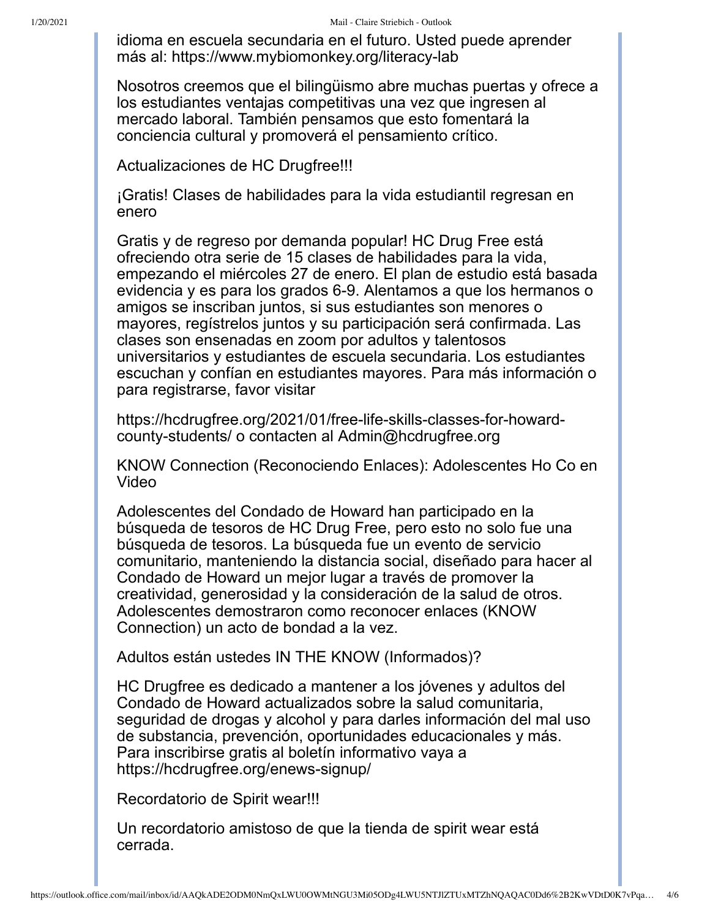idioma en escuela secundaria en el futuro. Usted puede aprender más al: https://www.mybiomonkey.org/literacy-lab

Nosotros creemos que el bilingüismo abre muchas puertas y ofrece a los estudiantes ventajas competitivas una vez que ingresen al mercado laboral. También pensamos que esto fomentará la conciencia cultural y promoverá el pensamiento crítico.

Actualizaciones de HC Drugfree!!!

¡Gratis! Clases de habilidades para la vida estudiantil regresan en enero

Gratis y de regreso por demanda popular! HC Drug Free está ofreciendo otra serie de 15 clases de habilidades para la vida, empezando el miércoles 27 de enero. El plan de estudio está basada evidencia y es para los grados 6-9. Alentamos a que los hermanos o amigos se inscriban juntos, si sus estudiantes son menores o mayores, regístrelos juntos y su participación será confirmada. Las clases son ensenadas en zoom por adultos y talentosos universitarios y estudiantes de escuela secundaria. Los estudiantes escuchan y confían en estudiantes mayores. Para más información o para registrarse, favor visitar

https://hcdrugfree.org/2021/01/free-life-skills-classes-for-howardcounty-students/ o contacten al Admin@hcdrugfree.org

KNOW Connection (Reconociendo Enlaces): Adolescentes Ho Co en Video

Adolescentes del Condado de Howard han participado en la búsqueda de tesoros de HC Drug Free, pero esto no solo fue una búsqueda de tesoros. La búsqueda fue un evento de servicio comunitario, manteniendo la distancia social, diseñado para hacer al Condado de Howard un mejor lugar a través de promover la creatividad, generosidad y la consideración de la salud de otros. Adolescentes demostraron como reconocer enlaces (KNOW Connection) un acto de bondad a la vez.

Adultos están ustedes IN THE KNOW (Informados)?

HC Drugfree es dedicado a mantener a los jóvenes y adultos del Condado de Howard actualizados sobre la salud comunitaria, seguridad de drogas y alcohol y para darles información del mal uso de substancia, prevención, oportunidades educacionales y más. Para inscribirse gratis al boletín informativo vaya a https://hcdrugfree.org/enews-signup/

Recordatorio de Spirit wear!!!

Un recordatorio amistoso de que la tienda de spirit wear está cerrada.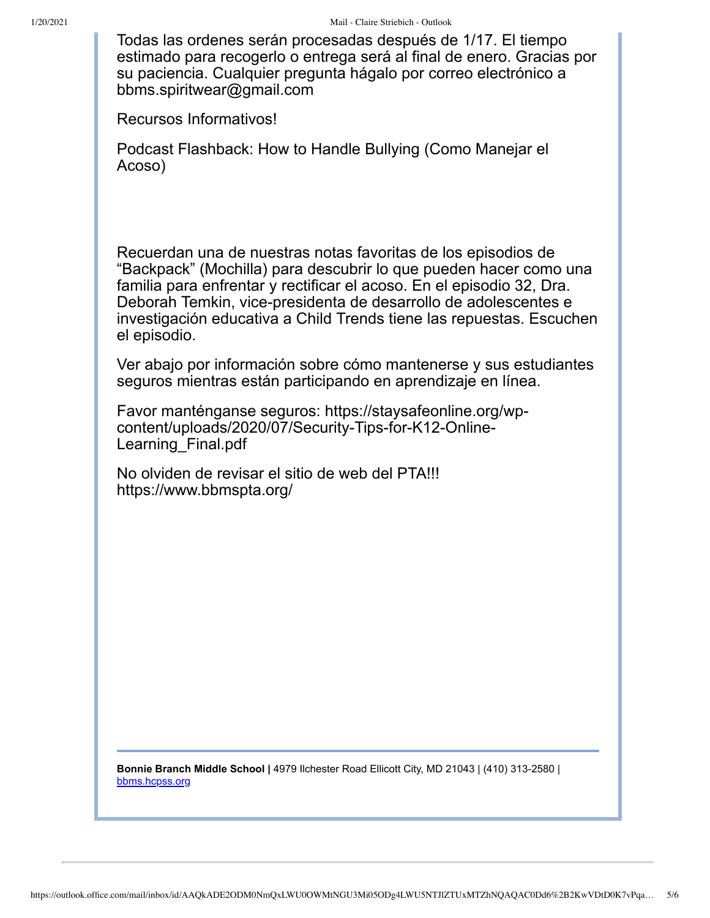Todas las ordenes serán procesadas después de 1/17. El tiempo estimado para recogerlo o entrega será al final de enero. Gracias por su paciencia. Cualquier pregunta hágalo por correo electrónico a bbms.spiritwear@gmail.com

Recursos Informativos!

Podcast Flashback: How to Handle Bullying (Como Manejar el Acoso)

Recuerdan una de nuestras notas favoritas de los episodios de "Backpack" (Mochilla) para descubrir lo que pueden hacer como una familia para enfrentar y rectificar el acoso. En el episodio 32, Dra. Deborah Temkin, vice-presidenta de desarrollo de adolescentes e investigación educativa a Child Trends tiene las repuestas. Escuchen el episodio.

Ver abajo por información sobre cómo mantenerse y sus estudiantes seguros mientras están participando en aprendizaje en línea.

Favor manténganse seguros: https://staysafeonline.org/wpcontent/uploads/2020/07/Security-Tips-for-K12-Online-Learning\_Final.pdf

No olviden de revisar el sitio de web del PTA!!! https://www.bbmspta.org/

**Bonnie Branch Middle School |** 4979 Ilchester Road Ellicott City, MD 21043 | (410) 313-2580 | [bbms.hcpss.org](https://nam10.safelinks.protection.outlook.com/?url=http:%2F%2Ftrack.spe.schoolmessenger.com%2Ff%2Fa%2FFFsYgVu5yWwdJ_2gmqIKgA~~%2FAAAAAQA~%2FRgRh6WHZP0QWaHR0cDovL2JibXMuaGNwc3Mub3JnL1cHc2Nob29sbUIKYAZZLghg2FRTDlIaY2xhaXJlX3N0cmllYmljaEBoY3Bzcy5vcmdYBAAAAAE~&data=04%7C01%7Cclaire_striebich%40hcpss.org%7C63e97d8ad85d4e874bfc08d8bd464d4b%7C96a9ac4c477e4dada2b28ad3fc46790b%7C0%7C0%7C637467456941446110%7CUnknown%7CTWFpbGZsb3d8eyJWIjoiMC4wLjAwMDAiLCJQIjoiV2luMzIiLCJBTiI6Ik1haWwiLCJXVCI6Mn0%3D%7C1000&sdata=5ws%2BeMs2nDibtmWOkadiqBVcOOmc%2B1%2FUG55lPWBxdlQ%3D&reserved=0)